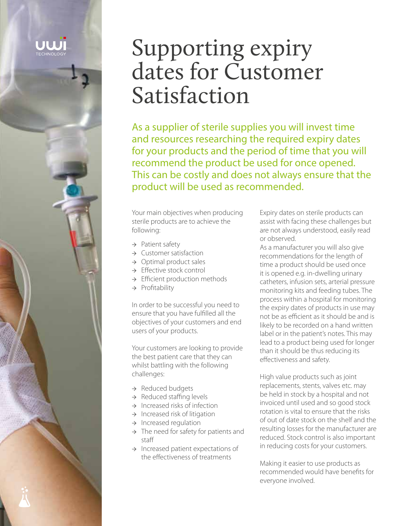Supporting expiry dates for Customer Satisfaction

As a supplier of sterile supplies you will invest time and resources researching the required expiry dates for your products and the period of time that you will recommend the product be used for once opened. This can be costly and does not always ensure that the product will be used as recommended.

Your main objectives when producing sterile products are to achieve the following:

- → Patient safety
- → Customer satisfaction
- $\rightarrow$  Optimal product sales
- → Effective stock control
- → Efficient production methods
- → Profitability

In order to be successful you need to ensure that you have fulfilled all the objectives of your customers and end users of your products.

Your customers are looking to provide the best patient care that they can whilst battling with the following challenges:

- → Reduced budgets
- → Reduced staffing levels
- $\rightarrow$  Increased risks of infection
- $\rightarrow$  Increased risk of litigation
- $\rightarrow$  Increased regulation
- $\rightarrow$  The need for safety for patients and staff
- → Increased patient expectations of the effectiveness of treatments

Expiry dates on sterile products can assist with facing these challenges but are not always understood, easily read or observed.

As a manufacturer you will also give recommendations for the length of time a product should be used once it is opened e.g. in-dwelling urinary catheters, infusion sets, arterial pressure monitoring kits and feeding tubes. The process within a hospital for monitoring the expiry dates of products in use may not be as efficient as it should be and is likely to be recorded on a hand written label or in the patient's notes. This may lead to a product being used for longer than it should be thus reducing its effectiveness and safety.

High value products such as joint replacements, stents, valves etc. may be held in stock by a hospital and not invoiced until used and so good stock rotation is vital to ensure that the risks of out of date stock on the shelf and the resulting losses for the manufacturer are reduced. Stock control is also important in reducing costs for your customers.

Making it easier to use products as recommended would have benefits for everyone involved.